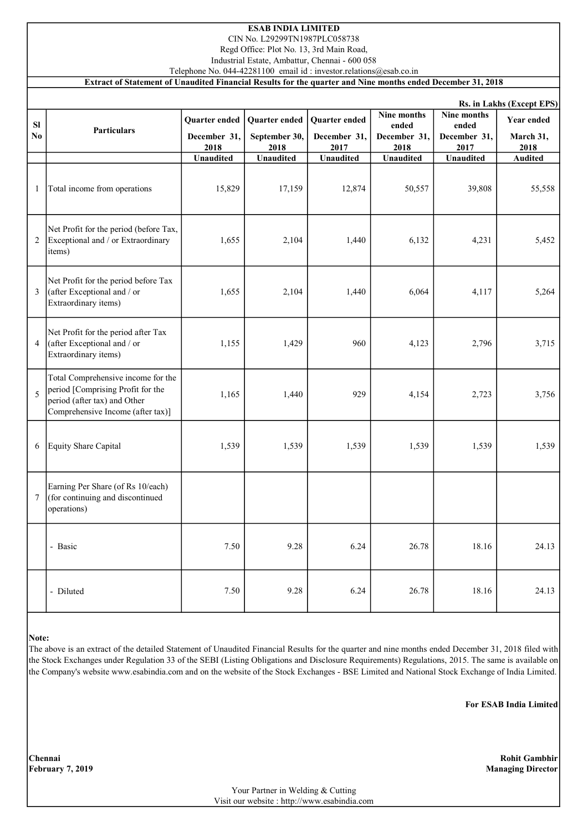## ESAB INDIA LIMITED

CIN No. L29299TN1987PLC058738 Regd Office: Plot No. 13, 3rd Main Road,

Industrial Estate, Ambattur, Chennai - 600 058

Telephone No. 044-42281100 email id : investor.relations@esab.co.in

#### Extract of Statement of Unaudited Financial Results for the quarter and Nine months ended December 31, 2018

|                             | Rs. in Lakhs (Except EPS)                                                                                                                    |                                       |                                        |                                       |                                              |                                              |                                 |  |
|-----------------------------|----------------------------------------------------------------------------------------------------------------------------------------------|---------------------------------------|----------------------------------------|---------------------------------------|----------------------------------------------|----------------------------------------------|---------------------------------|--|
| <b>SI</b><br>N <sub>0</sub> | <b>Particulars</b>                                                                                                                           | Quarter ended<br>December 31,<br>2018 | Quarter ended<br>September 30,<br>2018 | Quarter ended<br>December 31,<br>2017 | Nine months<br>ended<br>December 31,<br>2018 | Nine months<br>ended<br>December 31,<br>2017 | Year ended<br>March 31,<br>2018 |  |
|                             |                                                                                                                                              | <b>Unaudited</b>                      | <b>Unaudited</b>                       | <b>Unaudited</b>                      | <b>Unaudited</b>                             | <b>Unaudited</b>                             | <b>Audited</b>                  |  |
| $\mathbf{1}$                | Total income from operations                                                                                                                 | 15,829                                | 17,159                                 | 12,874                                | 50,557                                       | 39,808                                       | 55,558                          |  |
| 2                           | Net Profit for the period (before Tax,<br>Exceptional and / or Extraordinary<br>items)                                                       | 1,655                                 | 2,104                                  | 1,440                                 | 6,132                                        | 4,231                                        | 5,452                           |  |
| 3                           | Net Profit for the period before Tax<br>(after Exceptional and / or<br>Extraordinary items)                                                  | 1,655                                 | 2,104                                  | 1,440                                 | 6,064                                        | 4,117                                        | 5,264                           |  |
| 4                           | Net Profit for the period after Tax<br>(after Exceptional and / or<br>Extraordinary items)                                                   | 1,155                                 | 1,429                                  | 960                                   | 4,123                                        | 2,796                                        | 3,715                           |  |
| 5                           | Total Comprehensive income for the<br>period [Comprising Profit for the<br>period (after tax) and Other<br>Comprehensive Income (after tax)] | 1,165                                 | 1,440                                  | 929                                   | 4,154                                        | 2,723                                        | 3,756                           |  |
| 6                           | Equity Share Capital                                                                                                                         | 1,539                                 | 1,539                                  | 1,539                                 | 1,539                                        | 1,539                                        | 1,539                           |  |
| $\tau$                      | Earning Per Share (of Rs 10/each)<br>(for continuing and discontinued<br>operations)                                                         |                                       |                                        |                                       |                                              |                                              |                                 |  |
|                             | - Basic                                                                                                                                      | 7.50                                  | 9.28                                   | 6.24                                  | 26.78                                        | 18.16                                        | 24.13                           |  |
|                             | - Diluted                                                                                                                                    | 7.50                                  | 9.28                                   | 6.24                                  | 26.78                                        | 18.16                                        | 24.13                           |  |

#### Note:

The above is an extract of the detailed Statement of Unaudited Financial Results for the quarter and nine months ended December 31, 2018 filed with the Stock Exchanges under Regulation 33 of the SEBI (Listing Obligations and Disclosure Requirements) Regulations, 2015. The same is available on the Company's website www.esabindia.com and on the website of the Stock Exchanges - BSE Limited and National Stock Exchange of India Limited.

For ESAB India Limited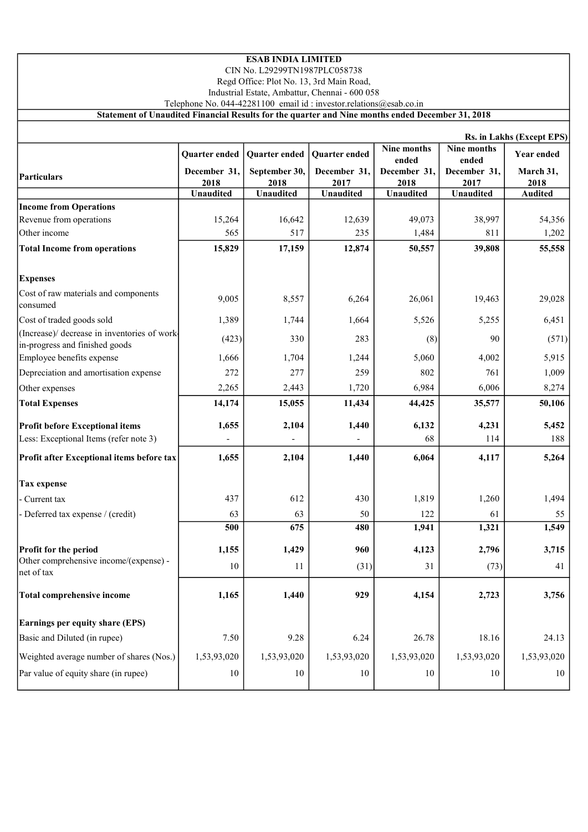### ESAB INDIA LIMITED

CIN No. L29299TN1987PLC058738

Regd Office: Plot No. 13, 3rd Main Road,

Industrial Estate, Ambattur, Chennai - 600 058

Telephone No. 044-42281100 email id : investor.relations@esab.co.in

Statement of Unaudited Financial Results for the quarter and Nine months ended December 31, 2018

|                                                                                | Rs. in Lakhs (Except EPS) |                       |                      |                      |                      |                   |  |  |
|--------------------------------------------------------------------------------|---------------------------|-----------------------|----------------------|----------------------|----------------------|-------------------|--|--|
|                                                                                | Quarter ended             | Quarter ended         | Quarter ended        | Nine months          | Nine months          | <b>Year ended</b> |  |  |
|                                                                                |                           |                       |                      | ended                | ended                |                   |  |  |
| Particulars                                                                    | December 31,<br>2018      | September 30,<br>2018 | December 31,<br>2017 | December 31,<br>2018 | December 31,<br>2017 | March 31,<br>2018 |  |  |
|                                                                                | <b>Unaudited</b>          | Unaudited             | <b>Unaudited</b>     | <b>Unaudited</b>     | <b>Unaudited</b>     | <b>Audited</b>    |  |  |
| <b>Income from Operations</b>                                                  |                           |                       |                      |                      |                      |                   |  |  |
| Revenue from operations                                                        | 15,264                    | 16,642                | 12,639               | 49,073               | 38,997               | 54,356            |  |  |
| Other income                                                                   | 565                       | 517                   | 235                  | 1,484                | 811                  | 1,202             |  |  |
| <b>Total Income from operations</b>                                            | 15,829                    | 17,159                | 12,874               | 50,557               | 39,808               | 55,558            |  |  |
| <b>Expenses</b>                                                                |                           |                       |                      |                      |                      |                   |  |  |
| Cost of raw materials and components<br>consumed                               | 9,005                     | 8,557                 | 6,264                | 26,061               | 19,463               | 29,028            |  |  |
| Cost of traded goods sold                                                      | 1,389                     | 1,744                 | 1,664                | 5,526                | 5,255                | 6,451             |  |  |
| (Increase)/ decrease in inventories of work-<br>in-progress and finished goods | (423)                     | 330                   | 283                  | (8)                  | 90                   | (571)             |  |  |
| Employee benefits expense                                                      | 1,666                     | 1,704                 | 1,244                | 5,060                | 4,002                | 5,915             |  |  |
| Depreciation and amortisation expense                                          | 272                       | 277                   | 259                  | 802                  | 761                  | 1,009             |  |  |
| Other expenses                                                                 | 2,265                     | 2,443                 | 1,720                | 6,984                | 6,006                | 8,274             |  |  |
| <b>Total Expenses</b>                                                          | 14,174                    | 15,055                | 11,434               | 44,425               | 35,577               | 50,106            |  |  |
| <b>Profit before Exceptional items</b>                                         | 1,655                     | 2,104                 | 1,440                | 6,132                | 4,231                | 5,452             |  |  |
| Less: Exceptional Items (refer note 3)                                         |                           |                       |                      | 68                   | 114                  | 188               |  |  |
| Profit after Exceptional items before tax                                      | 1,655                     | 2,104                 | 1,440                | 6,064                | 4,117                | 5,264             |  |  |
| <b>Tax expense</b>                                                             |                           |                       |                      |                      |                      |                   |  |  |
| Current tax                                                                    | 437                       | 612                   | 430                  | 1,819                | 1,260                | 1,494             |  |  |
| - Deferred tax expense / (credit)                                              | 63                        | 63                    | 50                   | 122                  | 61                   | 55                |  |  |
|                                                                                | 500                       | 675                   | 480                  | 1,941                | 1,321                | 1,549             |  |  |
| Profit for the period                                                          | 1,155                     | 1,429                 | 960                  | 4,123                | 2,796                | 3,715             |  |  |
| Other comprehensive income/(expense) -<br>net of tax                           | 10                        | 11                    | (31)                 | 31                   | (73)                 | 41                |  |  |
| <b>Total comprehensive income</b>                                              | 1,165                     | 1,440                 | 929                  | 4,154                | 2,723                | 3,756             |  |  |
| Earnings per equity share (EPS)                                                |                           |                       |                      |                      |                      |                   |  |  |
| Basic and Diluted (in rupee)                                                   | 7.50                      | 9.28                  | 6.24                 | 26.78                | 18.16                | 24.13             |  |  |
| Weighted average number of shares (Nos.)                                       | 1,53,93,020               | 1,53,93,020           | 1,53,93,020          | 1,53,93,020          | 1,53,93,020          | 1,53,93,020       |  |  |
| Par value of equity share (in rupee)                                           | 10                        | 10                    | 10                   | 10                   | 10                   | 10                |  |  |